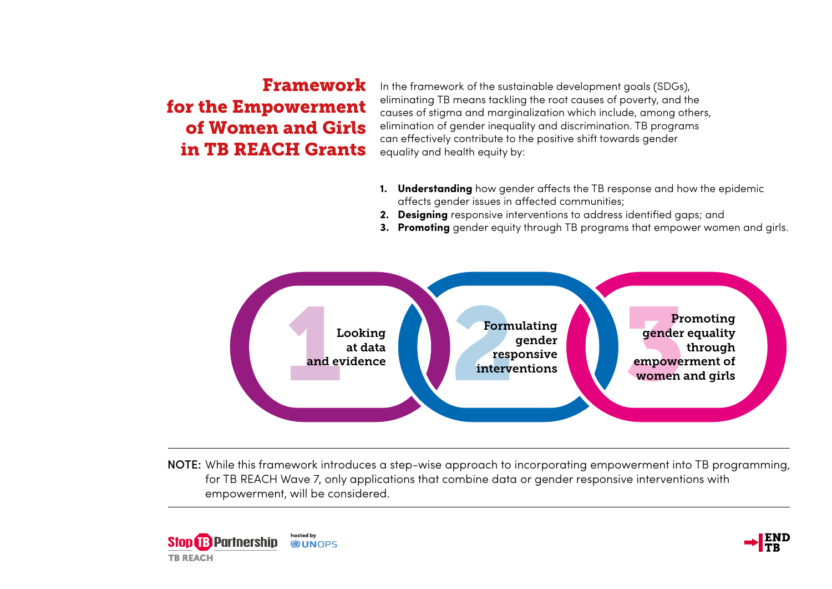## Framework for the Empowerment of Women and Girls in TB REACH Grants

In the framework of the sustainable development goals (SDGs), eliminating TB means tackling the root causes of poverty, and the causes of stigma and marginalization which include, among others, elimination of gender inequality and discrimination. TB programs can effectively contribute to the positive shift towards gender equality and health equity by:

- **1. Understanding** how gender affects the TB response and how the epidemic affects gender issues in affected communities;
- **2. Designing** responsive interventions to address identified gaps; and
- **3. Promoting** gender equity through TB programs that empower women and girls.



NOTE: While this framework introduces a step-wise approach to incorporating empowerment into TB programming, for TB REACH Wave 7, only applications that combine data or gender responsive interventions with empowerment, will be considered.



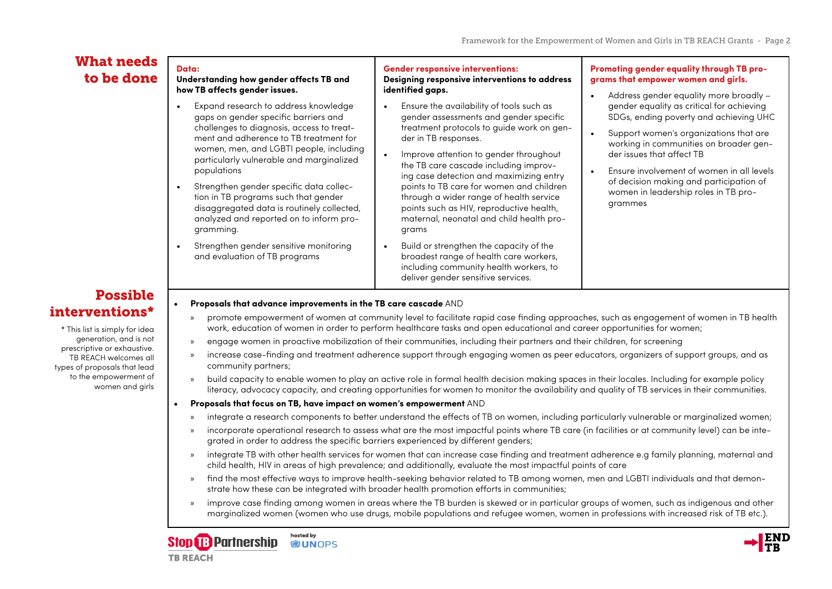### What needs to be done

### **Data: Understanding how gender affects TB and how TB affects gender issues.**

- Expand research to address knowledge gaps on gender specific barriers and challenges to diagnosis, access to treatment and adherence to TB treatment for women, men, and LGBTI people, including particularly vulnerable and marginalized populations
- Strengthen gender specific data collection in TB programs such that gender disaggregated data is routinely collected, analyzed and reported on to inform programming.
- Strengthen gender sensitive monitoring and evaluation of TB programs

### **Gender responsive interventions:**

### **Designing responsive interventions to address identified gaps.**

- Ensure the availability of tools such as gender assessments and gender specific treatment protocols to guide work on gender in TB responses.
- Improve attention to gender throughout the TB care cascade including improving case detection and maximizing entry points to TB care for women and children through a wider range of health service points such as HIV, reproductive health, maternal, neonatal and child health programs
- Build or strengthen the capacity of the broadest range of health care workers, including community health workers, to deliver gender sensitive services.

### **Promoting gender equality through TB programs that empower women and girls.**

- Address gender equality more broadly gender equality as critical for achieving SDGs, ending poverty and achieving UHC
- Support women's organizations that are working in communities on broader gender issues that affect TB
- Ensure involvement of women in all levels of decision making and participation of women in leadership roles in TB programmes

# Possible

\* This list is simply for idea generation, and is not prescriptive or exhaustive. TB REACH welcomes all types of proposals that lead to the empowerment of women and girls

## interventions\* **• Proposals that advance improvements in the TB care cascade** AND

- » promote empowerment of women at community level to facilitate rapid case finding approaches, such as engagement of women in TB health work, education of women in order to perform healthcare tasks and open educational and career opportunities for women;
- » engage women in proactive mobilization of their communities, including their partners and their children, for screening
- » increase case-finding and treatment adherence support through engaging women as peer educators, organizers of support groups, and as community partners;
- » build capacity to enable women to play an active role in formal health decision making spaces in their locales. Including for example policy literacy, advocacy capacity, and creating opportunities for women to monitor the availability and quality of TB services in their communities.

### **• Proposals that focus on TB, have impact on women's empowerment** AND

- » integrate a research components to better understand the effects of TB on women, including particularly vulnerable or marginalized women;
- » incorporate operational research to assess what are the most impactful points where TB care (in facilities or at community level) can be integrated in order to address the specific barriers experienced by different genders;
- » integrate TB with other health services for women that can increase case finding and treatment adherence e.g family planning, maternal and child health, HIV in areas of high prevalence; and additionally, evaluate the most impactful points of care
- » find the most effective ways to improve health-seeking behavior related to TB among women, men and LGBTI individuals and that demonstrate how these can be integrated with broader health promotion efforts in communities;
- » improve case finding among women in areas where the TB burden is skewed or in particular groups of women, such as indigenous and other marginalized women (women who use drugs, mobile populations and refugee women, women in professions with increased risk of TB etc.).



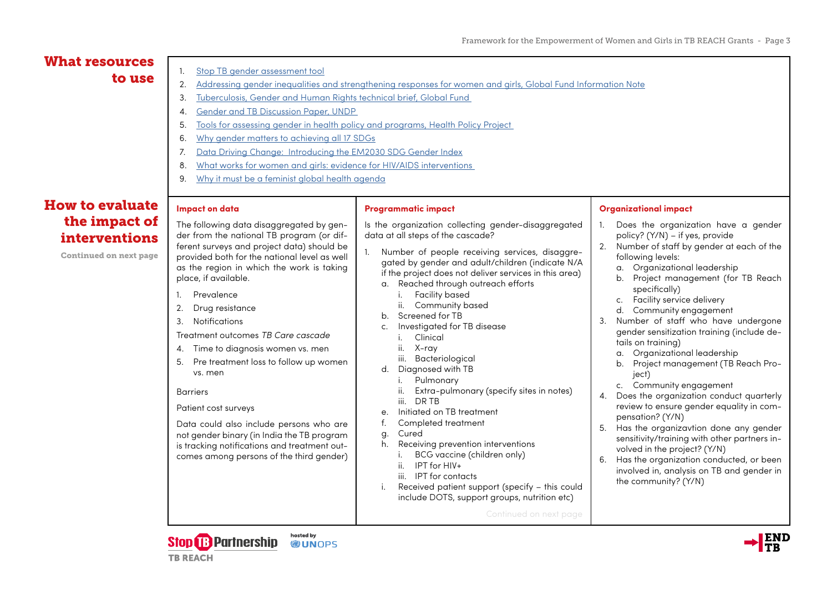#### **Impact on data** The following data disaggregated by gender from the national TB program (or different surveys and project data) should be provided both for the national level as well as the region in which the work is taking place, if available. 1. Prevalence 2. Drug resistance 3. Notifications Treatment outcomes *TB Care cascade* 4. Time to diagnosis women vs. men 5. Pre treatment loss to follow up women vs. men Barriers Patient cost surveys Data could also include persons who are not gender binary (in India the TB program is tracking notifications and treatment outcomes among persons of the third gender) **Programmatic impact** Is the organization collecting gender-disaggregated data at all steps of the cascade? 1. Number of people receiving services, disaggregated by gender and adult/children (indicate N/A if the project does not deliver services in this area) a. Reached through outreach efforts i. Facility based ii. Community based b. Screened for TB c. Investigated for TB disease i. Clinical ii. X-ray iii. Bacteriological d. Diagnosed with TB i. Pulmonary ii. Extra-pulmonary (specify sites in notes) iii. DR TB e. Initiated on TB treatment f. Completed treatment g. Cured h. Receiving prevention interventions i. BCG vaccine (children only) ii. IPT for HIV+ iii. IPT for contacts i. Received patient support (specify – this could include DOTS, support groups, nutrition etc) Continued on next page **Organizational impact** 1. Does the organization have a gender policy? (Y/N) – if yes, provide 2. Number of staff by gender at each of the following levels: a. Organizational leadership b. Project management (for TB Reach specifically) c. Facility service delivery d. Community engagement 3. Number of staff who have undergone gender sensitization training (include details on training) a. Organizational leadership b. Project management (TB Reach Proiect) c. Community engagement 4. Does the organization conduct quarterly review to ensure gender equality in compensation? (Y/N) 5. Has the organizavtion done any gender sensitivity/training with other partners involved in the project? (Y/N) 6. Has the organization conducted, or been involved in, analysis on TB and gender in the community? (Y/N) What resources to use  $\begin{array}{|l|l|} \hline \text{1.} & \text{Stop TB gender assessment tool} \ \hline \text{2.} & \text{Addressing gender inequalities and strengthening responses for women and girls, Global Fund Information Note} \hline \end{array}$  $\begin{array}{|l|l|} \hline \text{1.} & \text{Stop TB gender assessment tool} \ \hline \text{2.} & \text{Addressing gender inequalities and strengthening responses for women and girls, Global Fund Information Note} \hline \end{array}$  $\begin{array}{|l|l|} \hline \text{1.} & \text{Stop TB gender assessment tool} \ \hline \text{2.} & \text{Addressing gender inequalities and strengthening responses for women and girls, Global Fund Information Note} \hline \end{array}$  $\begin{array}{|l|l|} \hline \text{1.} & \text{Stop TB gender assessment tool} \ \hline \text{2.} & \text{Addressing gender inequalities and strengthening responses for women and girls, Global Fund Information Note} \hline \end{array}$  $\begin{array}{|l|l|} \hline \text{1.} & \text{Stop TB gender assessment tool} \ \hline \text{2.} & \text{Addressing gender inequalities and strengthening responses for women and girls, Global Fund Information Note} \hline \end{array}$ 3. [Tuberculosis, Gender and Human Rights technical brief, Global Fund](https://www.theglobalfund.org/media/6349/core_tbhumanrightsgenderequality_technicalbrief_en.pdf)  4. [Gender and TB Discussion Paper, UNDP](https://www.undp.org/content/dam/undp/library/HIV-AIDS/Gender%20HIV%20and%20Health/Gender%20and%20TB%20UNDP%20Discussion%20Paper%20(1).pdf)  5. [Tools for assessing gender in health policy and programs, Health Policy Project](https://www.healthpolicyproject.com/pubs/121_ToolsforAssessingGenderinHealthPolicFINAL.pdf)  6. [Why gender matters to achieving all 17 SDGs](http://www.unwomen.org/en/digital-library/multimedia/2018/7/infographic-why-gender-equality-matters-to-achieving-all-17-sdgs) 7. [Data Driving Change: Introducing the EM2030 SDG Gender Index](https://data.em2030.org/wp-content/uploads/2018/09/EM2030-2018-Global-Report.pdf) 8. [What works for women and girls: evidence for HIV/AIDS interventions](http://www.whatworksforwomen.org/system/attachments/2/original/what-works-for-women-and-girls.pdf?1278700491)  9. [Why it must be a feminist global health agenda](https://www.thelancet.com/journals/lancet/article/PIIS0140-6736(18)32472-3/fulltext) How to evaluate the impact of interventions Continued on next page